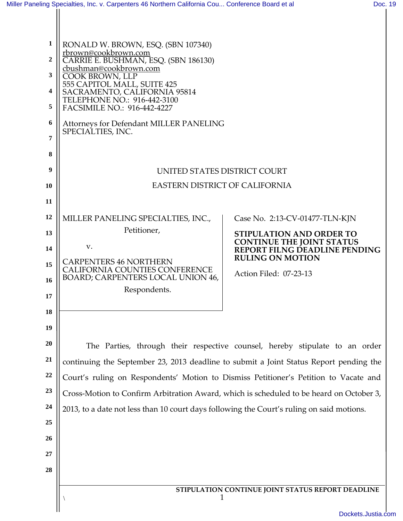<span id="page-0-0"></span>

| 1  | RONALD W. BROWN, ESQ. (SBN 107340)                                                        |                                                                     |  |
|----|-------------------------------------------------------------------------------------------|---------------------------------------------------------------------|--|
| 2  | rbrown@cookbrown.com<br>CARRIE E. BUSHMAN, ESQ. (SBN 186130)                              |                                                                     |  |
| 3  | cbushman@cookbrown.com<br>COOK BROWN, LLP                                                 |                                                                     |  |
| 4  | 555 CAPITOL MALL, SUITE 425<br>SACRAMENTO, CALIFORNIA 95814                               |                                                                     |  |
| 5  | TELEPHONE NO.: 916-442-3100<br>FACSIMILE NO.: 916-442-4227                                |                                                                     |  |
| 6  | <b>Attorneys for Defendant MILLER PANELING</b><br>SPECIALTIES, INC.                       |                                                                     |  |
| 7  |                                                                                           |                                                                     |  |
| 8  |                                                                                           |                                                                     |  |
| 9  | UNITED STATES DISTRICT COURT                                                              |                                                                     |  |
| 10 | <b>EASTERN DISTRICT OF CALIFORNIA</b>                                                     |                                                                     |  |
| 11 |                                                                                           |                                                                     |  |
| 12 | MILLER PANELING SPECIALTIES, INC.,                                                        | Case No. 2:13-CV-01477-TLN-KJN                                      |  |
| 13 | Petitioner,                                                                               | <b>STIPULATION AND ORDER TO</b><br><b>CONTINUE THE JOINT STATUS</b> |  |
| 14 | V.                                                                                        | REPORT FILNG DEADLINE PENDING<br><b>RULING ON MOTION</b>            |  |
| 15 | <b>CARPENTERS 46 NORTHERN</b><br><b>CALIFORNIA COUNTIES CONFERENCE</b>                    | Action Filed: 07-23-13                                              |  |
| 16 | BOARD; CARPENTERS LOCAL UNION 46,<br>Respondents.                                         |                                                                     |  |
| 17 |                                                                                           |                                                                     |  |
| 18 |                                                                                           |                                                                     |  |
| 19 |                                                                                           |                                                                     |  |
| 20 | The Parties, through their respective counsel, hereby stipulate to an order               |                                                                     |  |
| 21 | continuing the September 23, 2013 deadline to submit a Joint Status Report pending the    |                                                                     |  |
| 22 | Court's ruling on Respondents' Motion to Dismiss Petitioner's Petition to Vacate and      |                                                                     |  |
| 23 | Cross-Motion to Confirm Arbitration Award, which is scheduled to be heard on October 3,   |                                                                     |  |
| 24 | 2013, to a date not less than 10 court days following the Court's ruling on said motions. |                                                                     |  |
| 25 |                                                                                           |                                                                     |  |
| 26 |                                                                                           |                                                                     |  |
| 27 |                                                                                           |                                                                     |  |
| 28 |                                                                                           |                                                                     |  |
|    | STIPULATION CONTINUE JOINT STATUS REPORT DEADLINE<br>1                                    |                                                                     |  |
|    |                                                                                           | Dockets.Justia.com                                                  |  |
|    |                                                                                           |                                                                     |  |